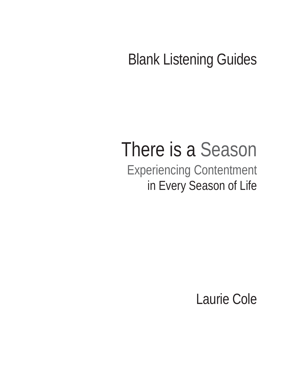# Blank Listening Guides

# There is a Season Experiencing Contentment in Every Season of Life

Laurie Cole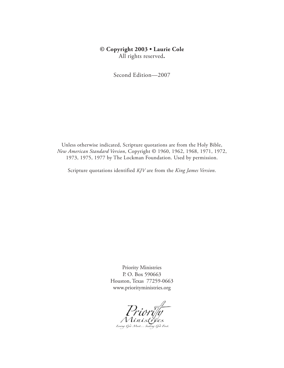#### **© Copyright 2003 • Laurie Cole** All rights reserved**.**

Second Edition—2007

Unless otherwise indicated, Scripture quotations are from the Holy Bible, *New American Standard Version*, Copyright © 1960, 1962, 1968, 1971, 1972, 1973, 1975, 1977 by The Lockman Foundation. Used by permission.

Scripture quotations identified *KJV* are from the *King James Version*.

Priority Ministries P. O. Box 590663 Houston, Texas 77259-0663 www.priorityministries.org

Priority<br>Ministries<br>Loving God Most... Seeking God First.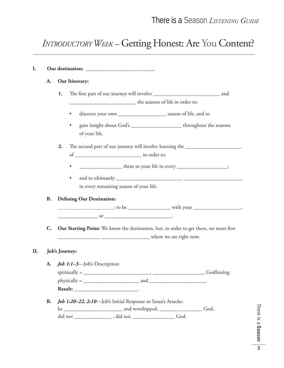## *INTRODUCTORY WEEK –* Getting Honest: Are You Content?

| A.             |                | Our Itinerary:                                                                                                                                                                                                                                                                                                                                                                                                                                                              |  |
|----------------|----------------|-----------------------------------------------------------------------------------------------------------------------------------------------------------------------------------------------------------------------------------------------------------------------------------------------------------------------------------------------------------------------------------------------------------------------------------------------------------------------------|--|
|                | 1.             |                                                                                                                                                                                                                                                                                                                                                                                                                                                                             |  |
|                |                | the seasons of life in order to:                                                                                                                                                                                                                                                                                                                                                                                                                                            |  |
|                |                | discover your own _________________________ season of life, and to<br>٠                                                                                                                                                                                                                                                                                                                                                                                                     |  |
|                |                | gain insight about God's _________________________throughout the seasons<br>$\bullet$<br>of your life.                                                                                                                                                                                                                                                                                                                                                                      |  |
|                | 2.             | The second part of our journey will involve learning the _______________________                                                                                                                                                                                                                                                                                                                                                                                            |  |
|                |                |                                                                                                                                                                                                                                                                                                                                                                                                                                                                             |  |
|                |                | _______________________ them to your life in every _____________________;                                                                                                                                                                                                                                                                                                                                                                                                   |  |
|                |                |                                                                                                                                                                                                                                                                                                                                                                                                                                                                             |  |
|                |                | ٠<br>in every remaining season of your life.                                                                                                                                                                                                                                                                                                                                                                                                                                |  |
|                |                |                                                                                                                                                                                                                                                                                                                                                                                                                                                                             |  |
| <b>B.</b>      |                | <b>Defining Our Destination:</b>                                                                                                                                                                                                                                                                                                                                                                                                                                            |  |
|                |                |                                                                                                                                                                                                                                                                                                                                                                                                                                                                             |  |
|                |                | $\overline{\text{or}}$ $\overline{\text{or}}$ $\overline{\text{or}}$ $\overline{\text{or}}$ $\overline{\text{or}}$ $\overline{\text{or}}$ $\overline{\text{or}}$ $\overline{\text{or}}$ $\overline{\text{or}}$ $\overline{\text{or}}$ $\overline{\text{or}}$ $\overline{\text{or}}$ $\overline{\text{or}}$ $\overline{\text{or}}$ $\overline{\text{or}}$ $\overline{\text{or}}$ $\overline{\text{or}}$ $\overline{\text{or}}$ $\overline{\text{or}}$ $\overline{\text{or}}$ |  |
| $\mathbf{C}$ . |                | Our Starting Point: We know the destination, but, in order to get there, we must first                                                                                                                                                                                                                                                                                                                                                                                      |  |
|                |                |                                                                                                                                                                                                                                                                                                                                                                                                                                                                             |  |
|                | Job's Journey: |                                                                                                                                                                                                                                                                                                                                                                                                                                                                             |  |
|                |                | A. <i>Job 1:1-3</i> —Job's Description:                                                                                                                                                                                                                                                                                                                                                                                                                                     |  |
|                |                |                                                                                                                                                                                                                                                                                                                                                                                                                                                                             |  |
|                |                |                                                                                                                                                                                                                                                                                                                                                                                                                                                                             |  |
|                |                |                                                                                                                                                                                                                                                                                                                                                                                                                                                                             |  |
|                |                |                                                                                                                                                                                                                                                                                                                                                                                                                                                                             |  |
| <b>B.</b>      |                | <b>Job 1:20-22, 2:10</b> -Job's Initial Response to Satan's Attacks:                                                                                                                                                                                                                                                                                                                                                                                                        |  |
|                |                |                                                                                                                                                                                                                                                                                                                                                                                                                                                                             |  |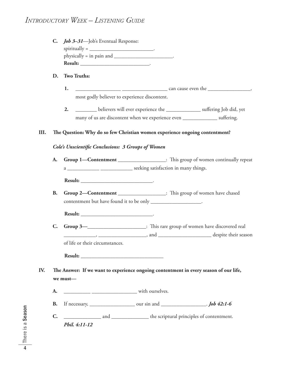#### *INTRODUCTORY WEEK – LISTENING GUIDE*

| C. <i>Job 3–31</i> —Job's Eventual Response:                                                           |  |
|--------------------------------------------------------------------------------------------------------|--|
| spiritually = $\frac{1}{\sqrt{1-\frac{1}{2}}\sqrt{1-\frac{1}{2}}\left(\frac{1}{2}-\frac{1}{2}\right)}$ |  |
| $physically = in pain and$                                                                             |  |
| <b>Result:</b>                                                                                         |  |

#### **D. Two Truths:**

**1.** \_\_\_\_\_\_\_\_\_\_\_\_\_\_\_\_\_ \_\_\_\_\_\_\_\_\_\_\_\_\_\_\_\_\_ can cause even the \_\_\_\_\_\_\_\_\_\_\_\_\_\_\_\_, most godly believer to experience discontent.

**2.** \_\_\_\_\_\_\_\_\_\_ believers will ever experience the \_\_\_\_\_\_\_\_\_\_\_\_\_\_\_\_\_ suffering Job did, yet many of us are discontent when we experience even \_\_\_\_\_\_\_\_\_\_\_\_\_\_\_\_\_ suffering.

#### **III.** The Question: Why do so few Christian women experience ongoing contentment?

#### *Cole's Unscientifi c Conclusions: 3 Groups of Women*

**A.** Group 1—Contentment \_\_\_\_\_\_\_\_\_\_\_\_\_\_\_\_: This group of women continually repeat a \_\_\_\_\_\_\_\_\_\_\_\_\_\_\_\_\_\_\_\_\_\_\_\_\_\_\_\_\_\_\_\_\_ seeking satisfaction in many things.

**Result:** \_\_\_\_\_\_\_\_\_\_\_\_\_\_\_\_\_\_\_\_\_\_\_\_\_\_\_.

**B.** Group 2-Contentment \_\_\_\_\_\_\_\_\_\_\_\_\_\_\_: This group of women have chased contentment but have found it to be only \_\_\_\_\_\_\_\_\_\_\_\_\_\_\_\_\_\_\_.

**Result:** \_\_\_\_\_\_\_\_\_\_\_\_\_\_\_\_\_\_\_\_\_\_\_\_\_\_\_.

**C.** Group 3—\_\_\_\_\_\_\_\_\_\_\_\_\_\_\_\_\_\_\_: This rare group of women have discovered real \_\_\_\_\_\_\_\_\_\_\_\_, \_\_\_\_\_\_\_\_\_\_\_\_\_\_\_\_\_\_, and \_\_\_\_\_\_\_\_\_\_\_\_\_\_\_\_\_\_\_\_ despite their season of life or their circumstances.

**Result:** \_\_\_\_\_\_\_\_\_\_\_\_\_\_\_\_\_\_\_\_\_\_\_\_\_\_\_\_\_\_\_

IV. The Answer: If we want to experience ongoing contentment in every season of our life, **we must—**

- **A.** \_\_\_\_\_\_\_\_\_\_ \_\_\_\_\_\_\_\_\_\_\_\_\_\_\_\_\_ with ourselves.
- **B.** If necessary, \_\_\_\_\_\_\_\_\_\_\_\_\_\_\_\_\_ our sin and \_\_\_\_\_\_\_\_\_\_\_\_\_\_\_\_\_. *Job 42:1-6*
- **C.** \_\_\_\_\_\_\_\_\_\_\_\_\_\_ and \_\_\_\_\_\_\_\_\_\_\_\_\_\_ the scriptural principles of contentment. *Phil. 4:11-12*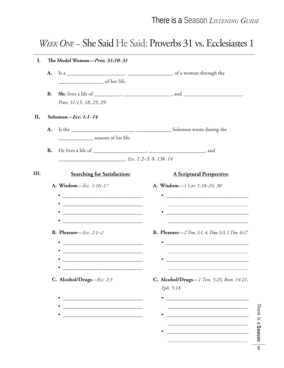### WEEK ONE - She Said He Said: Proverbs 31 vs. Ecclesiastes 1

| I.   |           | The Model Woman-Prov. 31:10-31                                                                                        |                                                                                                                                   |
|------|-----------|-----------------------------------------------------------------------------------------------------------------------|-----------------------------------------------------------------------------------------------------------------------------------|
|      | A.        |                                                                                                                       |                                                                                                                                   |
|      |           | of her life.                                                                                                          |                                                                                                                                   |
|      | <b>B.</b> |                                                                                                                       |                                                                                                                                   |
|      |           | Prov. 31:13, 18, 25, 29                                                                                               |                                                                                                                                   |
| II.  |           | Solomon-Ecc. 1:1-14                                                                                                   |                                                                                                                                   |
|      | A.        |                                                                                                                       |                                                                                                                                   |
|      |           | _______________________ seasons of his life.                                                                          |                                                                                                                                   |
|      | <b>B.</b> |                                                                                                                       |                                                                                                                                   |
|      |           | $Ecc.$ 1:2-3, 8, 13b, 14                                                                                              |                                                                                                                                   |
| III. |           | <b>Searching for Satisfaction:</b>                                                                                    | <b>A Scriptural Perspective:</b>                                                                                                  |
|      |           | A. Wisdom-Ecc. 1:16-17                                                                                                | A. Wisdom-1 Cor. 1:18-24, 30                                                                                                      |
|      |           | <u> 2000 - Andrea Andrew Maria (h. 1878).</u>                                                                         | <u> 2000 - Jan James James Jan James James James James James James James James James James James James James Jam</u>              |
|      |           | <u> 2008 - Jan James James James James James James James James James James James James James James James James Ja</u> |                                                                                                                                   |
|      |           | <u> 2002 - Jan James James Barnett, filosof anti-amerikan personal (h. 1878).</u>                                     |                                                                                                                                   |
|      |           | <u> 1980 - Jan James James Jan James James James James James James James James James James James James James Jam</u>  |                                                                                                                                   |
|      |           | B. Pleasure-Ecc. 2:1-2                                                                                                | <b>B. Pleasure</b> - 2 Tim. 3:1, 4, Titus 3:3, 1 Tim. 6:17                                                                        |
|      |           |                                                                                                                       | <u> 1989 - Johann Harry Barn, mars ar breist fan de Fryske kampen oantal fan de Fryske kampen oantal fan de Frys</u><br>$\bullet$ |
|      |           |                                                                                                                       | the control of the control of the control of the control of the control of the control of                                         |
|      |           |                                                                                                                       |                                                                                                                                   |
|      |           | C. Alcohol/Drugs-Ecc. 2:3                                                                                             | C. Alcohol/Drugs-1 Tim. 5:23, Rom. 14:21,                                                                                         |
|      |           |                                                                                                                       | Eph. 5:18                                                                                                                         |
|      |           | <u> 1989 - Johann John Stein, mars an deutscher Stein und der Stein und der Stein und der Stein und der Stein un</u>  |                                                                                                                                   |
|      |           | <u> 1989 - Johann Harry Harry Harry Harry Harry Harry Harry Harry Harry Harry Harry Harry Harry Harry Harry Harry</u> |                                                                                                                                   |
|      |           | <u> 1989 - Johann John Stone, mars eta biztanleria (h. 1989).</u>                                                     |                                                                                                                                   |
|      |           |                                                                                                                       |                                                                                                                                   |
|      |           |                                                                                                                       |                                                                                                                                   |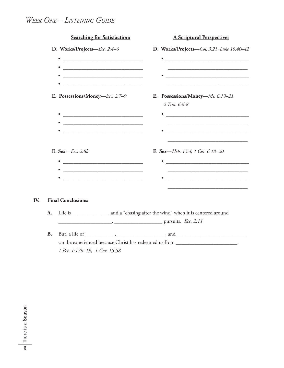### *WEEK ONE – LISTENING GUIDE*

|           | <b>Searching for Satisfaction:</b>                                                                                   | <b>A Scriptural Perspective:</b>                                                          |
|-----------|----------------------------------------------------------------------------------------------------------------------|-------------------------------------------------------------------------------------------|
|           | D. Works/Projects-Ecc. 2:4-6                                                                                         | D. Works/Projects-Col. 3:23, Luke 10:40-42                                                |
|           |                                                                                                                      |                                                                                           |
|           |                                                                                                                      |                                                                                           |
|           |                                                                                                                      |                                                                                           |
|           |                                                                                                                      |                                                                                           |
|           | E. Possessions/Money-Ecc. 2:7-9                                                                                      | E. Possessions/Money-Mt. 6:19-21,<br>2 Tim. 6:6-8                                         |
|           |                                                                                                                      |                                                                                           |
|           |                                                                                                                      |                                                                                           |
|           | <u> 1989 - Johann Barbara, martxa alemaniar amerikan basar da shekara a shekara tsa a shekara tsa a shekara tsa </u> |                                                                                           |
|           |                                                                                                                      |                                                                                           |
|           | F. Sex- <i>Ecc.</i> 2:8b                                                                                             | F. Sex-Heb. 13:4, 1 Cor. 6:18-20                                                          |
|           |                                                                                                                      |                                                                                           |
|           |                                                                                                                      |                                                                                           |
|           |                                                                                                                      |                                                                                           |
|           |                                                                                                                      |                                                                                           |
|           | <b>Final Conclusions:</b>                                                                                            |                                                                                           |
| A.        |                                                                                                                      | Life is _______________________ and a "chasing after the wind" when it is centered around |
|           | $\frac{1}{2}$ pursuits. <i>Ecc.</i> 2:11                                                                             |                                                                                           |
| <b>B.</b> |                                                                                                                      | But, a life of ____________, ___________________, and __________________________          |
|           |                                                                                                                      | can be experienced because Christ has redeemed us from _________________________.         |
|           | 1 Pet. 1:17b-19, 1 Cor. 15:58                                                                                        |                                                                                           |

**IV.**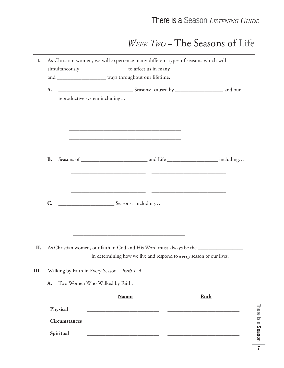## WEEK Two-The Seasons of Life

| I.                   | As Christian women, we will experience many different types of seasons which will                                                         |             |
|----------------------|-------------------------------------------------------------------------------------------------------------------------------------------|-------------|
|                      | simultaneously ____________________ to affect us in many _______________________<br>and ___________________ ways throughout our lifetime. |             |
| A.                   |                                                                                                                                           |             |
|                      | reproductive system including                                                                                                             |             |
|                      | <u> 1989 - Johann John Stein, mars et al. (</u>                                                                                           |             |
|                      |                                                                                                                                           |             |
|                      |                                                                                                                                           |             |
|                      |                                                                                                                                           |             |
| <b>B.</b>            |                                                                                                                                           |             |
|                      |                                                                                                                                           |             |
|                      |                                                                                                                                           |             |
| $C_{\cdot}$          | Seasons: including                                                                                                                        |             |
|                      | <u> 1989 - Johann John Stone, market fan de ferskein fan de ferskein fan de ferskein fan de ferskein fan de fers</u>                      |             |
|                      | <u> 1989 - Johann Barn, amerikan bernama di sebagai bernama dan bernama di sebagai bernama dalam bernama dalam b</u>                      |             |
|                      |                                                                                                                                           |             |
| II.                  | As Christian women, our faith in God and His Word must always be the ____________                                                         |             |
|                      | in determining how we live and respond to <i>every</i> season of our lives.                                                               |             |
| III.                 | Walking by Faith in Every Season-Ruth 1-4                                                                                                 |             |
| A.                   | Two Women Who Walked by Faith:                                                                                                            |             |
|                      | <b>Naomi</b>                                                                                                                              | <b>Ruth</b> |
| Physical             |                                                                                                                                           |             |
| <b>Circumstances</b> |                                                                                                                                           |             |
| Spiritual            | <u> 2000 - Jan Barnett, mars et al. (</u>                                                                                                 |             |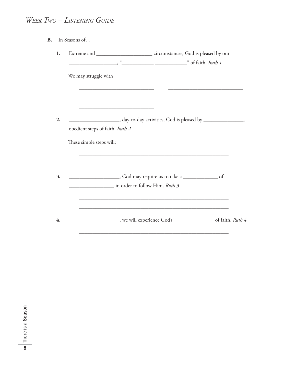### WEEK TWO - LISTENING GUIDE

| In Seasons of |
|---------------|

| 1. |                                                                                                                              |                                                                                                                                                                                                                                |
|----|------------------------------------------------------------------------------------------------------------------------------|--------------------------------------------------------------------------------------------------------------------------------------------------------------------------------------------------------------------------------|
|    |                                                                                                                              |                                                                                                                                                                                                                                |
|    | We may struggle with<br>the control of the control of the control of the control of the control of the control of            |                                                                                                                                                                                                                                |
| 2. | the control of the control of the control of the control of the control of the control of<br>obedient steps of faith. Ruth 2 | __________________________________,day-to-day activities, God is pleased by _____________________________                                                                                                                      |
|    | These simple steps will:                                                                                                     |                                                                                                                                                                                                                                |
| 3. | in order to follow Him. Ruth 3                                                                                               | <u> 1989 - Johann Barbara, markazar margolaria (h. 1989).</u>                                                                                                                                                                  |
| 4. |                                                                                                                              | <u> 1989 - Johann Stoff, deutscher Stoff, der Stoff, der Stoff, der Stoff, der Stoff, der Stoff, der Stoff, der S</u><br>_______________________, we will experience God's ____________________________of faith. <i>Ruth 4</i> |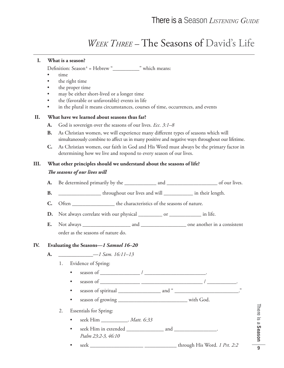### *WEEK THREE –* The Seasons of David's Life

#### **I. What is a season?** Definition: Season<sup>4</sup> = Hebrew " $\blacksquare$ " which means: • time the right time the proper time may be either short-lived or a longer time • the (favorable or unfavorable) events in life in the plural it means circumstances, courses of time, occurrences, and events  **II. What have we learned about seasons thus far? A.** God is sovereign over the seasons of our lives. *Ecc. 3:1–8* **B.** As Christian women, we will experience many different types of seasons which will simultaneously combine to affect us in many positive and negative ways throughout our lifetime. **C.** As Christian women, our faith in God and His Word must always be the primary factor in determining how we live and respond to every season of our lives. **III. What other principles should we understand about the seasons of life? The seasons of our lives will A.** Be determined primarily by the \_\_\_\_\_\_\_\_\_\_\_\_ and \_\_\_\_\_\_\_\_\_\_\_\_\_\_\_\_\_\_\_ of our lives. **B.** \_\_\_\_\_\_\_\_\_\_\_\_\_\_\_\_ throughout our lives and will \_\_\_\_\_\_\_\_\_\_\_ in their length. **C.** Often \_\_\_\_\_\_\_\_\_\_\_\_\_\_\_\_ the characteristics of the seasons of nature. **D.** Not always correlate with our physical \_\_\_\_\_\_\_\_\_ or \_\_\_\_\_\_\_\_\_\_\_\_ in life. **E.** Not always \_\_\_\_\_\_\_\_\_\_\_\_\_\_\_\_\_\_ and \_\_\_\_\_\_\_\_\_\_\_\_\_\_\_\_\_ one another in a consistent order as the seasons of nature do. **IV. Evaluating the Seasons—***1 Samuel 16–20* **A.** \_\_\_\_\_\_\_\_\_\_\_\_\_—*1 Sam. 16:11–13* 1. Evidence of Spring: • season of \_\_\_\_\_\_\_\_\_\_\_\_\_\_\_ / \_\_\_\_\_\_\_\_\_\_\_\_\_\_\_\_\_\_\_\_\_\_\_. • season of \_\_\_\_\_\_\_\_\_\_\_\_\_\_\_ \_\_\_\_\_\_\_\_\_\_\_\_\_\_\_\_\_\_\_\_\_\_\_ / \_\_\_\_\_\_\_\_\_\_\_. • season of spiritual \_\_\_\_\_\_\_\_\_\_\_\_\_\_\_\_ and " \_\_\_\_\_\_\_\_\_\_\_\_\_\_\_\_\_\_\_\_\_\_\_\_." • season of growing \_\_\_\_\_\_\_\_\_\_\_\_\_\_\_\_\_\_\_\_\_\_\_\_\_\_ with God. 2. Essentials for Spring: • seek Him \_\_\_\_\_\_\_\_\_\_. *Matt. 6:33* • seek Him in extended \_\_\_\_\_\_\_\_\_\_\_\_\_\_ and \_\_\_\_\_\_\_\_\_\_\_\_\_\_\_\_. *Psalm 23:2-3, 46:10* • seek \_\_\_\_\_\_\_\_\_\_\_\_\_\_\_\_\_\_\_\_ \_\_\_\_\_\_\_\_\_\_\_\_ through His Word. *1 Pet. 2:2*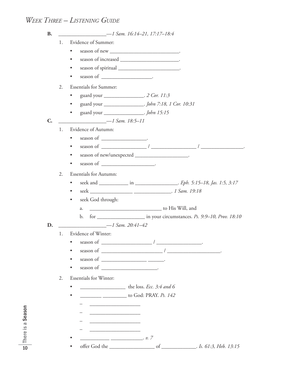### *WEEK THREE – LISTENING GUIDE*

| <b>B.</b>   |    |                                                                                                                                                                                                                                                                                                                                                                                                                                                         |
|-------------|----|---------------------------------------------------------------------------------------------------------------------------------------------------------------------------------------------------------------------------------------------------------------------------------------------------------------------------------------------------------------------------------------------------------------------------------------------------------|
|             | 1. | Evidence of Summer:                                                                                                                                                                                                                                                                                                                                                                                                                                     |
|             |    | $\bullet$                                                                                                                                                                                                                                                                                                                                                                                                                                               |
|             |    | $\bullet$                                                                                                                                                                                                                                                                                                                                                                                                                                               |
|             |    | season of spiritual _________________________________.<br>$\bullet$                                                                                                                                                                                                                                                                                                                                                                                     |
|             |    | season of __________________________.<br>$\bullet$                                                                                                                                                                                                                                                                                                                                                                                                      |
|             | 2. | <b>Essentials for Summer:</b>                                                                                                                                                                                                                                                                                                                                                                                                                           |
|             |    | guard your ______________________. 2 Cor. 11:3<br>$\bullet$                                                                                                                                                                                                                                                                                                                                                                                             |
|             |    | guard your __________________. John 7:18, 1 Cor. 10:31<br>$\bullet$                                                                                                                                                                                                                                                                                                                                                                                     |
|             |    | guard your __________________. <i>John 15:15</i><br>$\bullet$                                                                                                                                                                                                                                                                                                                                                                                           |
| $C_{\cdot}$ |    | $-1 Sam. 18:5-11$                                                                                                                                                                                                                                                                                                                                                                                                                                       |
|             | 1. | Evidence of Autumn:                                                                                                                                                                                                                                                                                                                                                                                                                                     |
|             |    |                                                                                                                                                                                                                                                                                                                                                                                                                                                         |
|             |    | $\bullet$                                                                                                                                                                                                                                                                                                                                                                                                                                               |
|             |    | season of new/unexpected _______________________.<br>$\bullet$                                                                                                                                                                                                                                                                                                                                                                                          |
|             |    | $\bullet$                                                                                                                                                                                                                                                                                                                                                                                                                                               |
|             | 2. | <b>Essentials for Autumn:</b>                                                                                                                                                                                                                                                                                                                                                                                                                           |
|             |    | $\bullet$                                                                                                                                                                                                                                                                                                                                                                                                                                               |
|             |    | $\bullet$                                                                                                                                                                                                                                                                                                                                                                                                                                               |
|             |    | seek God through:<br>$\bullet$                                                                                                                                                                                                                                                                                                                                                                                                                          |
|             |    | a.                                                                                                                                                                                                                                                                                                                                                                                                                                                      |
|             |    | for _______________________ in your circumstances. Ps. 9:9-10, Prov. 18:10<br>$\mathbf{b}$ .                                                                                                                                                                                                                                                                                                                                                            |
| D.          |    | $-1$ Sam. 20:41-42                                                                                                                                                                                                                                                                                                                                                                                                                                      |
|             | 1. | Evidence of Winter:                                                                                                                                                                                                                                                                                                                                                                                                                                     |
|             |    |                                                                                                                                                                                                                                                                                                                                                                                                                                                         |
|             |    |                                                                                                                                                                                                                                                                                                                                                                                                                                                         |
|             |    | season of $\frac{1}{\sqrt{1-\frac{1}{2}} \cdot \frac{1}{\sqrt{1-\frac{1}{2}} \cdot \frac{1}{2}} \cdot \frac{1}{\sqrt{1-\frac{1}{2}} \cdot \frac{1}{2}} \cdot \frac{1}{\sqrt{1-\frac{1}{2}} \cdot \frac{1}{2}} \cdot \frac{1}{\sqrt{1-\frac{1}{2}} \cdot \frac{1}{2}} \cdot \frac{1}{\sqrt{1-\frac{1}{2}} \cdot \frac{1}{2}} \cdot \frac{1}{\sqrt{1-\frac{1}{2}} \cdot \frac{1}{2}} \cdot \frac{1}{\sqrt{1-\frac{1}{2}} \cdot \frac{1}{2}} \cdot \frac{$ |
|             |    |                                                                                                                                                                                                                                                                                                                                                                                                                                                         |
|             | 2. | <b>Essentials for Winter:</b>                                                                                                                                                                                                                                                                                                                                                                                                                           |
|             |    | the loss. <i>Ecc.</i> 3:4 and 6                                                                                                                                                                                                                                                                                                                                                                                                                         |
|             |    | to God: PRAY. <i>Ps. 142</i>                                                                                                                                                                                                                                                                                                                                                                                                                            |
|             |    |                                                                                                                                                                                                                                                                                                                                                                                                                                                         |
|             |    | <u> 1989 - Johann Barbara, martin amerikan basar dan berasal dalam basar dalam basar dalam basar dalam basar dala</u>                                                                                                                                                                                                                                                                                                                                   |
|             |    |                                                                                                                                                                                                                                                                                                                                                                                                                                                         |
|             |    |                                                                                                                                                                                                                                                                                                                                                                                                                                                         |
|             |    |                                                                                                                                                                                                                                                                                                                                                                                                                                                         |
|             |    | of ________________. Is. 61:3, Heb. 13:15                                                                                                                                                                                                                                                                                                                                                                                                               |

There is a Season 10ere is a Season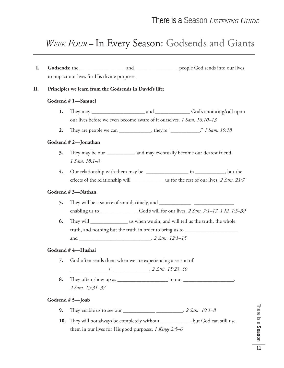## *WEEK FOUR –* In Every Season: Godsends and Giants

 **I. Godsends:** the \_\_\_\_\_\_\_\_\_\_\_\_\_\_\_\_\_ and \_\_\_\_\_\_\_\_\_\_\_\_\_\_\_\_ people God sends into our lives to impact our lives for His divine purposes. **II. Principles we learn from the Godsends in David's life: Godsend # 1—Samuel 1.** Th ey may \_\_\_\_\_\_\_\_\_\_\_\_\_\_\_\_\_\_\_\_ and \_\_\_\_\_\_\_\_\_\_\_\_\_ God's anointing/call upon our lives before we even become aware of it ourselves. *1 Sam. 16:10–13* **2.** They are people we can \_\_\_\_\_\_\_\_\_\_, they're "\_\_\_\_\_\_\_\_\_\_." *1 Sam. 19:18* **Godsend # 2—Jonathan 3.** They may be our \_\_\_\_\_\_\_\_, and may eventually become our dearest friend. *1 Sam. 18:1–3* **4.** Our relationship with them may be \_\_\_\_\_\_\_\_\_\_\_\_\_\_\_\_ in \_\_\_\_\_\_\_\_\_\_\_, but the effects of the relationship will us for the rest of our lives. *2 Sam. 21:7* **Godsend # 3—Nathan 5.** They will be a source of sound, timely, and enabling us to \_\_\_\_\_\_\_\_\_\_\_\_\_\_ God's will for our lives. *2 Sam. 7:1–17, 1 Ki. 1:5–39* **6.** Th ey will \_\_\_\_\_\_\_\_\_\_\_\_\_\_ us when we sin, and will tell us the truth, the whole truth, and nothing but the truth in order to bring us to \_\_\_\_\_\_\_\_\_\_\_\_\_\_\_\_\_\_\_\_\_\_\_ and \_\_\_\_\_\_\_\_\_\_\_\_\_\_\_\_\_\_\_\_\_\_\_\_\_\_\_. *2 Sam. 12:1–15* **Godsend # 4—Hushai 7.** God often sends them when we are experiencing a season of \_\_\_\_\_\_\_\_\_\_\_\_\_\_ / \_\_\_\_\_\_\_\_\_\_\_\_\_\_. *2 Sam. 15:23, 30* **8.** Th ey often show up as \_\_\_\_\_\_\_\_\_\_\_\_\_\_\_\_\_\_\_ to our \_\_\_\_\_\_\_\_\_\_\_\_\_\_\_\_\_\_\_. *2 Sam. 15:31–37* **Godsend # 5—Joab 9.** They enable us to see our \_\_\_\_\_\_\_\_\_\_\_\_\_\_\_\_\_\_\_\_\_\_\_\_\_. *2 Sam. 19:1-8* **10.** They will not always be completely without \_\_\_\_\_\_\_\_\_\_, but God can still use

them in our lives for His good purposes. *1 Kings 2:5–6*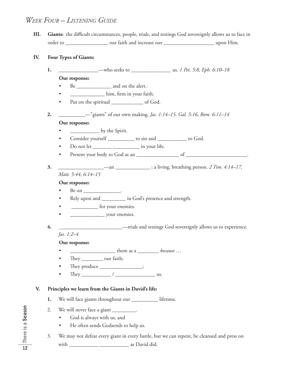#### *WEEK FOUR – LISTENING GUIDE*

**III.** Giants: the difficult circumstances, people, trials, and testings God sovereignly allows us to face in order to \_\_\_\_\_\_\_\_\_\_\_\_\_\_\_\_ our faith and increase our \_\_\_\_\_\_\_\_\_\_\_\_\_\_\_\_\_\_\_ upon Him.

#### **IV. Four Types of Giants:**

**1.** \_\_\_\_\_\_\_\_\_\_\_\_\_\_\_—who seeks to \_\_\_\_\_\_\_\_\_\_\_\_\_\_\_ us. *1 Pet. 5:8, Eph. 6:10–18* **Our response:** • Be \_\_\_\_\_\_\_\_\_\_\_\_\_\_ and on the alert. **•** him, firm in your faith. • Put on the spiritual \_\_\_\_\_\_\_\_\_\_\_\_ of God. **2.** \_\_\_\_\_\_\_\_\_\_—"giants" of our own making. *Jas. 1:14–15, Gal. 5:16, Rom. 6:11–14* **Our response:** • \_\_\_\_\_\_\_\_\_\_\_\_\_\_\_\_\_\_\_\_\_\_ by the Spirit. • Consider yourself \_\_\_\_\_\_\_\_\_\_ to sin and \_\_\_\_\_\_\_\_\_\_\_ to God. • Do not let \_\_\_\_\_\_\_ \_\_\_\_\_\_\_\_\_\_ in your life. • Present your body to God as an \_\_\_\_\_\_\_\_\_\_\_\_\_\_\_\_ of \_\_\_\_\_\_\_\_\_\_\_\_\_\_\_\_\_\_\_\_\_\_\_. **3.** \_\_\_\_\_\_\_\_\_\_\_\_\_\_\_\_\_—an \_\_\_\_\_\_\_\_\_\_\_\_\_ ; a living, breathing person. *2 Tim. 4:14–17, Matt. 5:44, 6:14–15* **Our response:** • Be on  $\frac{1}{\sqrt{1-\frac{1}{2}}}\cdot$ • Rely upon and \_\_\_\_\_\_\_\_\_ in God's presence and strength. **example 3** for your enemies. • \_\_\_\_\_\_\_\_\_\_\_\_\_ your enemies. **4.** \_\_\_\_\_\_\_\_\_\_\_\_\_\_\_\_\_\_\_\_\_\_\_\_—trials and testings God sovereignly allows us to experience. *Jas. 1:2–4* **Our response:** • \_\_\_\_\_\_\_\_\_\_\_\_\_\_\_\_\_ them as a \_\_\_\_\_\_\_\_ *because* … • They \_\_\_\_\_\_\_\_\_ our faith; They produce \_\_\_\_\_\_\_\_\_\_\_\_\_\_; • They  $\frac{1}{\sqrt{2\pi}}$  They  $\frac{1}{\sqrt{2\pi}}$  and  $\frac{1}{\sqrt{2\pi}}$  and  $\frac{1}{\sqrt{2\pi}}$  and  $\frac{1}{\sqrt{2\pi}}$  and  $\frac{1}{\sqrt{2\pi}}$  and  $\frac{1}{\sqrt{2\pi}}$  and  $\frac{1}{\sqrt{2\pi}}$  and  $\frac{1}{\sqrt{2\pi}}$  and  $\frac{1}{\sqrt{2\pi}}$  and  $\frac{1}{\sqrt{2\pi}}$  and  $\frac{$  **V. Principles we learn from the Giants in David's life: 1.** We will face giants throughout our \_\_\_\_\_\_\_\_\_\_ lifetime. 2. We will never face a giant \_\_\_\_\_\_\_\_\_. • God is always with us, and • He often sends Godsends to help us. 3. We may not defeat every giant in every battle, but we can repent, be cleansed and press on with \_\_\_\_\_\_\_\_\_\_\_ \_\_\_\_\_\_\_\_\_\_\_ as David did.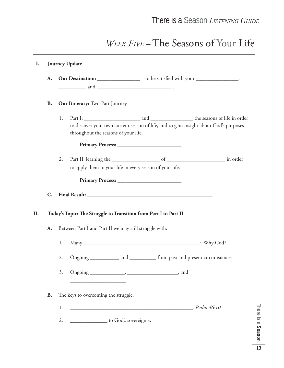## *WEEK FIVE –* The Seasons of Your Life

## **I. Journey Update A.** Our Destination: \_\_\_\_\_\_\_\_\_\_\_\_\_\_\_\_\_\_\_ —to be satisfied with your \_\_\_\_\_\_\_\_\_\_\_\_\_\_\_, \_\_\_\_\_\_\_\_\_\_, and \_\_\_\_\_\_\_\_\_\_\_\_\_\_\_\_\_\_\_\_\_\_\_\_\_\_\_\_ . **B.** Our Itinerary: Two-Part Journey 1. Part I: \_\_\_\_\_\_\_\_\_\_\_\_\_\_\_\_\_\_\_\_\_ and \_\_\_\_\_\_\_\_\_\_\_\_\_\_\_\_ the seasons of life in order to discover your own current season of life, and to gain insight about God's purposes throughout the seasons of your life. **Primary Process:** \_\_\_\_\_\_\_\_\_\_\_\_\_\_\_\_\_\_\_\_\_\_\_\_ 2. Part II: learning the \_\_\_\_\_\_\_\_\_\_\_\_\_\_\_\_\_\_ of \_\_\_\_\_\_\_\_\_\_\_\_\_\_\_\_\_\_\_\_\_\_ in order to apply them to your life in every season of your life. **Primary Process:** \_\_\_\_\_\_\_\_\_\_\_\_\_\_\_\_\_\_\_\_\_\_\_\_ **C. Final Result: \_\_\_\_\_\_\_\_\_\_\_\_\_\_\_\_\_\_\_\_\_\_\_\_\_\_\_\_\_\_\_\_\_\_\_\_\_\_\_\_\_\_\_\_\_\_\_** II. Today's Topic: The Struggle to Transition from Part I to Part II **A.** Between Part I and Part II we may still struggle with: 1. Many \_\_\_\_\_\_\_\_\_\_\_\_\_\_\_\_\_\_\_\_ \_\_\_\_\_\_\_\_\_\_\_\_\_\_\_\_\_\_\_\_\_\_\_: Why God? 2. Ongoing \_\_\_\_\_\_\_\_\_\_\_ and \_\_\_\_\_\_\_\_\_\_ from past and present circumstances. 3. Ongoing \_\_\_\_\_\_\_\_\_\_\_\_\_, \_\_\_\_\_\_\_\_\_\_\_\_\_\_\_\_\_\_\_, and  $\mathcal{L}$  and  $\mathcal{L}$  and  $\mathcal{L}$  and  $\mathcal{L}$ **B.** The keys to overcoming the struggle: 1. \_\_\_\_\_\_\_\_\_\_\_\_\_\_\_\_\_\_\_\_\_\_\_\_\_\_\_\_\_\_\_\_\_\_\_\_\_\_\_\_\_\_\_\_\_\_. *Psalm 46:10* 2. \_\_\_\_\_\_\_\_\_\_\_\_\_\_\_ to God's sovereignty.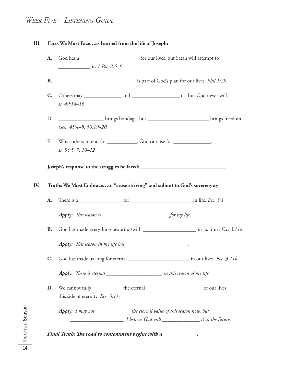#### *WEEK FIVE – LISTENING GUIDE*

#### **III. Facts We Must Face…as learned from the life of Joseph:**

- **A.** God has a \_\_\_\_\_\_\_\_\_\_\_\_\_\_\_\_\_\_\_\_\_\_ for our lives, but Satan will attempt to \_\_\_\_\_\_\_\_\_\_\_\_ it. *1 Pet. 2:5–9* **B.** \_\_\_\_\_\_\_\_\_\_\_\_\_\_\_\_\_\_\_\_\_\_\_\_\_\_\_\_\_ is part of God's plan for our lives. *Phil 1:29* **C.** Others may \_\_\_\_\_\_\_\_\_\_\_\_\_\_ and \_\_\_\_\_\_\_\_\_\_\_\_\_\_\_\_\_\_ us, but God never will. *Is. 49:14–16* D. \_\_\_\_\_\_\_\_\_\_\_\_\_\_\_\_\_\_\_ brings bondage, but \_\_\_\_\_\_\_\_\_\_\_\_\_\_\_\_\_\_\_\_\_\_\_\_\_\_\_\_\_\_\_\_brings freedom. *Gen. 45:4–8, 50:19–20* E. What others intend for \_\_\_\_\_\_\_\_\_\_, God can use for \_\_\_\_\_\_\_\_\_\_\_\_.
- *Is. 53:5, 7, 10–12*

**Joseph's response to the struggles he faced: \_\_\_\_\_\_\_\_\_\_\_\_\_\_\_\_\_\_\_\_\_\_\_\_\_\_\_\_\_\_\_\_**

#### **IV. Truths We Must Embrace…to "cease striving" and submit to God's sovereignty**

| А. | here is a |  | in life. $\lambda$ | <i>ECC. 5:1</i> |  |
|----|-----------|--|--------------------|-----------------|--|
|----|-----------|--|--------------------|-----------------|--|

*Apply*: This season is \_\_\_\_\_\_\_\_\_\_\_\_\_\_\_\_\_\_\_\_\_\_\_\_\_\_\_\_\_\_\_\_\_ for my life.

**B.** God has made everything beautiful/with \_\_\_\_\_\_\_\_\_\_\_\_\_\_\_\_\_\_\_\_ in its time. *Ecc. 3:11a*

*Apply*: *This season in my life has* \_\_\_\_\_\_\_\_\_\_\_\_\_\_\_\_\_\_\_\_\_\_\_\_\_\_.

**C.** God has made us long for eternal \_\_\_\_\_\_\_\_\_\_\_\_\_\_\_\_\_\_\_\_\_\_\_ in our lives. *Ecc. 3:11b*

*Apply*: There is eternal \_\_\_\_\_\_\_\_\_\_\_\_\_\_\_\_\_\_\_\_\_\_\_\_ in this season of my life.

**D.** We cannot fully \_\_\_\_\_\_\_\_\_\_\_ the eternal *\_\_\_\_\_\_\_\_\_\_\_\_\_\_\_\_\_\_\_\_\_* of our lives this side of eternity. *Ecc. 3:11c*

*Apply: I may not \_\_\_\_\_\_\_\_\_\_\_\_\_ the eternal value of this season now, but \_\_\_\_\_\_\_\_\_\_\_\_\_\_\_\_\_\_\_\_, I believe God will \_\_\_\_\_\_\_\_\_\_\_\_\_\_ it in the future.*

*Final Truth: The road to contentment begins with a*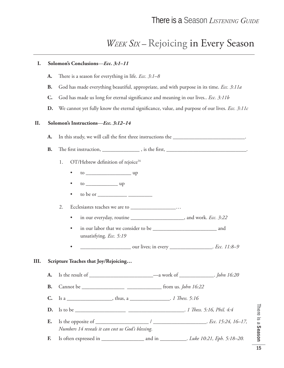### *WEEK SIX –* Rejoicing in Every Season

## **I. Solomon's Conclusions**—*Ecc. 3:1–11* A. There is a season for everything in life. *Ecc.* 3:1–8 **B.** God has made everything beautiful, appropriate, and with purpose in its time. *Ecc. 3:11a* **C.** God has made us long for eternal significance and meaning in our lives.. *Ecc.* 3:11b **D.** We cannot yet fully know the eternal significance, value, and purpose of our lives. *Ecc.* 3:11c  **II. Solomon's Instructions**—*Ecc. 3:12–14* **A.** In this study, we will call the first three instructions the \_\_\_\_\_\_\_\_\_\_\_\_\_\_\_\_\_\_\_\_\_\_\_\_\_\_\_\_. **B.** Th e fi rst instruction, \_\_\_\_\_\_\_\_\_\_\_\_\_\_ , is the fi rst, \_\_\_\_\_\_\_\_\_\_\_\_\_\_\_\_\_\_\_\_\_\_\_\_\_\_\_\_\_\_. 1. OT/Hebrew definition of rejoice<sup>16</sup> • to \_\_\_\_\_\_\_\_\_\_\_\_\_\_\_\_\_ up • to \_\_\_\_\_\_\_\_\_\_\_\_ up • to be or \_\_\_\_\_\_\_\_\_\_\_ \_\_\_\_\_\_\_\_\_ 2. Ecclesiastes teaches we are to \_\_\_\_\_\_\_\_\_\_\_\_\_\_\_\_\_… • in our everyday, routine \_\_\_\_\_\_\_\_\_\_\_\_\_\_\_\_\_\_\_\_, and work. *Ecc. 3:22* • in our labor that we consider to be \_\_\_\_\_\_\_\_\_\_\_\_\_\_\_\_\_\_\_\_\_\_\_\_ and unsatisfying. *Ecc. 5:19* • \_\_\_\_\_\_\_\_\_\_\_\_\_\_\_\_\_\_\_ our lives; in every \_\_\_\_\_\_\_\_\_\_\_\_\_\_\_\_. *Ecc. 11:8–9* **III. Scripture Teaches that Joy/Rejoicing… A.** Is the result of \_\_\_\_\_\_\_\_\_\_\_\_\_\_\_\_\_\_\_\_\_\_\_\_—a work of \_\_\_\_\_\_\_\_\_\_\_\_\_. *John 16:20* **B.** Cannot be \_\_\_\_\_\_\_\_\_\_\_\_\_\_\_\_ \_\_\_\_\_\_\_\_\_\_\_\_\_ from us. *John 16:22* **C.** Is a \_\_\_\_\_\_\_\_\_\_\_\_\_\_\_\_\_, thus, a \_\_\_\_\_\_\_\_\_\_\_\_\_\_\_\_. *1 Thess. 5:16* **D.** Is to be \_\_\_\_\_\_\_\_\_\_\_\_\_\_\_\_\_\_\_ \_\_\_\_\_\_\_\_\_\_\_\_\_\_\_\_\_\_\_\_\_. *1 Th ess. 5:16, Phil. 4:4* **E.** Is the opposite of \_\_\_\_\_\_\_\_\_\_\_\_\_\_\_\_\_\_\_\_ / \_\_\_\_\_\_\_\_\_\_\_\_\_\_\_\_\_\_\_\_. *Ecc. 15:24, 16–17, Numbers 14 reveals it can cost us God's blessing*. **F.** Is often expressed in \_\_\_\_\_\_\_\_\_\_\_\_\_\_\_\_ and in \_\_\_\_\_\_\_\_\_\_. *Luke 10:21, Eph. 5:18–20.*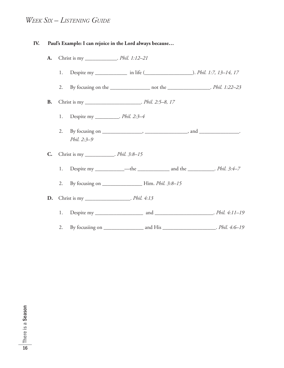### *WEEK SIX – LISTENING GUIDE*

| IV. |                |    | Paul's Example: I can rejoice in the Lord always because                                                    |  |  |
|-----|----------------|----|-------------------------------------------------------------------------------------------------------------|--|--|
|     | A.             |    | Christ is my _______________. Phil. 1:12-21                                                                 |  |  |
|     |                | 1. |                                                                                                             |  |  |
|     |                | 2. | By focusing on the ________________ not the ________________. Phil. 1:22-23                                 |  |  |
|     | <b>B.</b>      |    | Christ is my __________________________. Phil. 2:5-8, 17                                                    |  |  |
|     |                | 1. | Despite my ___________. Phil. 2:3-4                                                                         |  |  |
|     |                | 2. | By focusing on $\_\_\_\_\_\_\_\_\_\_\_\_\_\_\_\_$ , and $\_\_\_\_\_\_\_\_\_\_\_\_\_\_\_\_\_$<br>Phil. 2:3-9 |  |  |
|     | $\mathbf{C}$ . |    | Christ is my ____________. Phil. 3:8-15                                                                     |  |  |
|     |                | 1. |                                                                                                             |  |  |
|     |                | 2. |                                                                                                             |  |  |
|     |                |    | <b>D.</b> Christ is my ___________________. <i>Phil. 4:13</i>                                               |  |  |
|     |                | 1. |                                                                                                             |  |  |
|     |                | 2. |                                                                                                             |  |  |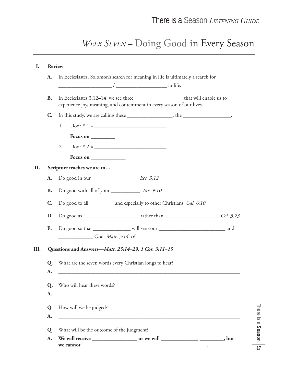## *WEEK SEVEN –* Doing Good in Every Season

| I.   |                | <b>Review</b>                                                                                                                                                     |
|------|----------------|-------------------------------------------------------------------------------------------------------------------------------------------------------------------|
|      | A.             | In Ecclesiastes, Solomon's search for meaning in life is ultimately a search for                                                                                  |
|      | <b>B.</b>      | In Ecclesiastes 3:12-14, we see three __________________________ that will enable us to<br>experience joy, meaning, and contentment in every season of our lives. |
|      | $\mathbf{C}$ . | In this study, we are calling these ______________________, the _____________________.                                                                            |
|      |                | $Door # 1 = \_$<br>1.                                                                                                                                             |
|      |                | Focus on __________                                                                                                                                               |
|      |                | 2.                                                                                                                                                                |
|      |                | Focus on $\_\_$                                                                                                                                                   |
| II.  |                | Scripture teaches we are to                                                                                                                                       |
|      | A.             | Do good in our ____________________. <i>Ecc.</i> 3:12                                                                                                             |
|      | <b>B.</b>      | Do good with all of your ___________. Ecc. 9:10                                                                                                                   |
|      | $\mathbf{C}$ . | Do good to all _________ and especially to other Christians. Gal. 6:10                                                                                            |
|      | D.             |                                                                                                                                                                   |
|      | E.             | Do good so that ________________ will see your __________________________________ and<br>God. Matt. 5:14-16                                                       |
| III. |                | Questions and Answers-Matt. 25:14-29, 1 Cor. 3:11-15                                                                                                              |
|      | Q.<br>A.       | What are the seven words every Christian longs to hear?                                                                                                           |
|      | Q.<br>A.       | Who will hear these words?                                                                                                                                        |
|      | Q<br>A.        | How will we be judged?<br><u> 1989 - Andrea Branden, amerikan basar basa dan basa dan basa dan basa dan basa dan basa dan basa dan basa da</u>                    |
|      |                |                                                                                                                                                                   |
|      | Q              | What will be the outcome of the judgment?                                                                                                                         |
|      | A.             |                                                                                                                                                                   |

There is a Season There is a Season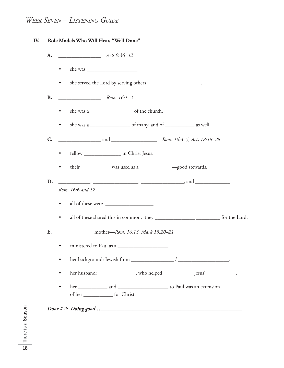### *WEEK SEVEN – LISTENING GUIDE*

| A.          | $-$ Acts 9:36-42                                                                                                                                                                                                                     |
|-------------|--------------------------------------------------------------------------------------------------------------------------------------------------------------------------------------------------------------------------------------|
|             | $\bullet$                                                                                                                                                                                                                            |
|             | she served the Lord by serving others _______________________.<br>$\bullet$                                                                                                                                                          |
| <b>B.</b>   | $Rom. 16:1-2$                                                                                                                                                                                                                        |
|             | $\bullet$                                                                                                                                                                                                                            |
|             | $\bullet$                                                                                                                                                                                                                            |
| $C_{\cdot}$ |                                                                                                                                                                                                                                      |
|             | fellow _______________________ in Christ Jesus.<br>$\bullet$                                                                                                                                                                         |
|             | $\bullet$                                                                                                                                                                                                                            |
| D.          | <u>2008 - Andrea Stevenson, American Stevenson, and American Stevenson Stevenson Stevenson Stevenson Stevenson Stevenson Stevenson Stevenson Stevenson Stevenson Stevenson Stevenson Stevenson Stevenson Stevenson Stevenson Ste</u> |
|             | Rom. 16:6 and 12                                                                                                                                                                                                                     |
|             | all of these were _______________________.<br>$\bullet$                                                                                                                                                                              |
|             | all of these shared this in common: they ________________________________ for the Lord.<br>$\bullet$                                                                                                                                 |
| E.          | ________________________ mother—Rom. 16:13, Mark 15:20-21                                                                                                                                                                            |
|             | • ministered to Paul as a                                                                                                                                                                                                            |
|             | $\bullet$                                                                                                                                                                                                                            |
|             | $\bullet$                                                                                                                                                                                                                            |
|             | $\bullet$<br>of her _______________ for Christ.                                                                                                                                                                                      |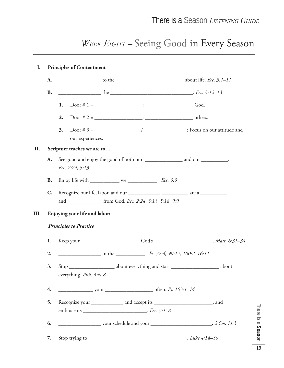## *WEEK EIGHT –* Seeing Good in Every Season

## **I. Principles of Contentment A.** \_\_\_\_\_\_\_\_\_\_\_\_\_\_\_\_ to the \_\_\_\_\_\_\_\_\_\_\_ \_\_\_\_\_\_\_\_\_\_\_\_\_\_ about life. *Ecc. 3:1–11* **B.** the the  $c = 3:12-13$ **1.** Door # 1 = \_\_\_\_\_\_\_\_\_\_\_\_\_\_\_\_\_\_: \_\_\_\_\_\_\_\_\_\_\_\_\_\_\_\_\_\_ God. **2.** Door # 2 = \_\_\_\_\_\_\_\_\_\_\_\_\_\_\_\_\_\_: \_\_\_\_\_\_\_\_\_\_\_\_\_\_\_\_\_\_ others. **3.** Door # 3 = \_\_\_\_\_\_\_\_\_\_\_\_\_\_\_\_\_ / \_\_\_\_\_\_\_\_\_\_\_\_\_\_\_\_: Focus on our attitude and our experiences.  **II. Scripture teaches we are to… A.** See good and enjoy the good of both our \_\_\_\_\_\_\_\_\_\_\_\_\_ and our \_\_\_\_\_\_\_\_\_. *Ecc. 2:24, 3:13* **B.** Enjoy life with \_\_\_\_\_\_\_\_\_\_\_ we \_\_\_\_\_\_\_\_\_\_\_ . *Ecc. 9:9* **C.** Recognize our life, labor, and our \_\_\_\_\_\_\_\_\_\_\_\_ \_\_\_\_\_\_\_\_\_\_ are a \_\_\_\_\_\_\_\_\_\_ and \_\_\_\_\_\_\_\_\_\_\_\_\_ from God. *Ecc. 2:24, 3:13, 5:18, 9:9* **III. Enjoying your life and labor:** *Principles to Practice* **1.** Keep your \_\_\_\_\_\_\_\_\_\_\_\_\_\_\_\_\_\_\_\_\_\_ God's \_\_\_\_\_\_\_\_\_\_\_\_\_\_\_\_\_\_\_\_\_\_. *Matt. 6:31–34*. **2.** \_\_\_\_\_\_\_\_\_\_\_\_\_\_\_\_ in the \_\_\_\_\_\_\_\_\_\_\_ . *Ps. 37:4, 90:14, 100:2, 16:11* **3.** Stop \_\_\_\_\_\_\_\_\_\_\_\_\_\_\_\_\_ about everything and start \_\_\_\_\_\_\_\_\_\_\_\_\_\_\_\_\_\_ about everything. *Phil. 4:6–8* **4.** \_\_\_\_\_\_\_\_\_\_\_\_\_ your \_\_\_\_\_\_\_\_\_\_\_\_\_\_\_\_\_\_ often. *Ps. 103:1–14* **5.** Recognize your \_\_\_\_\_\_\_\_\_\_\_\_ and accept its \_\_\_\_\_\_\_\_\_\_\_\_\_\_\_\_\_\_\_\_\_\_, and embrace its \_\_\_\_\_\_\_\_\_\_\_\_\_\_\_\_\_\_\_\_\_\_\_\_. *Ecc. 3:1–8* **6.** \_\_\_\_\_\_\_\_\_\_\_\_\_\_\_\_ your schedule and your \_\_\_\_\_\_\_\_\_\_\_\_\_\_\_\_\_\_\_\_\_\_\_. *2 Cor. 11:3* **7.** Stop trying to \_\_\_\_\_\_\_\_\_\_\_\_\_\_\_ \_\_\_\_\_\_\_\_\_\_\_\_\_\_\_\_\_\_\_\_\_. *Luke 4:14–30*

There is a Season

There is a Season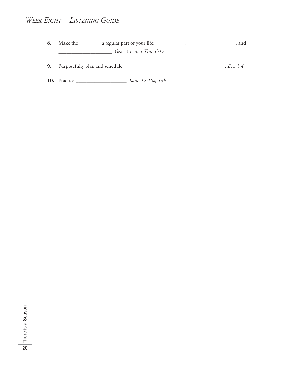#### *WEEK EIGHT – LISTENING GUIDE*

- **8.** Make the \_\_\_\_\_\_\_\_ a regular part of your life: \_\_\_\_\_\_\_\_\_\_\_, \_\_\_\_\_\_\_\_\_\_\_\_\_\_\_\_\_\_, and \_\_\_\_\_\_\_\_\_\_\_\_\_\_\_\_\_\_\_\_. *Gen. 2:1–3, 1 Tim. 6:17*
- **9.** Purposefully plan and schedule \_\_\_\_\_\_\_\_\_\_\_\_\_\_\_\_\_\_\_\_\_\_\_\_\_\_\_\_\_\_\_\_\_\_\_\_\_\_. *Ecc. 3:4*
- **10.** Practice \_\_\_\_\_\_\_\_\_\_\_\_\_\_\_\_\_\_\_. *Rom. 12:10a, 13b*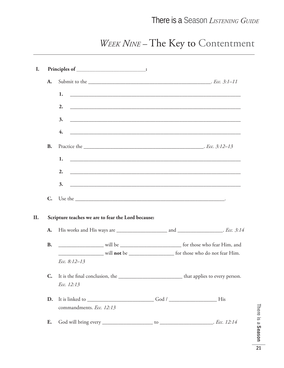### There is a Season *LISTENING GUIDE*

## *WEEK NINE –* The Key to Contentment

|                | Principles of ____________________________:                                         |  |
|----------------|-------------------------------------------------------------------------------------|--|
| A.             |                                                                                     |  |
|                | 1.                                                                                  |  |
|                | 2.                                                                                  |  |
|                | 3.                                                                                  |  |
|                | 4.                                                                                  |  |
|                |                                                                                     |  |
| <b>B.</b>      |                                                                                     |  |
|                | 1.                                                                                  |  |
|                | 2.                                                                                  |  |
|                | 3.                                                                                  |  |
|                |                                                                                     |  |
|                |                                                                                     |  |
| $\mathbf{C}$ . |                                                                                     |  |
|                | Scripture teaches we are to fear the Lord because:                                  |  |
| A.             |                                                                                     |  |
| <b>B.</b>      |                                                                                     |  |
|                |                                                                                     |  |
|                | Ecc. 8:12-13                                                                        |  |
| $\mathbf{C}$ . |                                                                                     |  |
|                | Ecc. 12:13                                                                          |  |
| D.             | It is linked to _______________________________God / ___________________________His |  |
|                | commandments. Ecc. 12:13                                                            |  |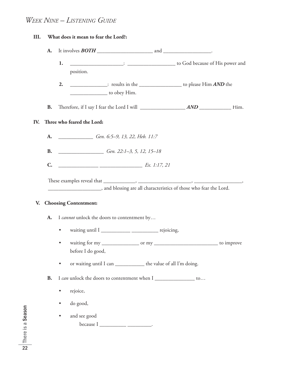### *WEEK NINE – LISTENING GUIDE*

| III. |                | What does it mean to fear the Lord?:                                                                                                                                                                                                                                                                                                                                                                                              |
|------|----------------|-----------------------------------------------------------------------------------------------------------------------------------------------------------------------------------------------------------------------------------------------------------------------------------------------------------------------------------------------------------------------------------------------------------------------------------|
|      | A.             |                                                                                                                                                                                                                                                                                                                                                                                                                                   |
|      |                | Lackson Cod because of His power and<br>1.                                                                                                                                                                                                                                                                                                                                                                                        |
|      |                | position.                                                                                                                                                                                                                                                                                                                                                                                                                         |
|      |                | to please Him AND the<br>2.                                                                                                                                                                                                                                                                                                                                                                                                       |
|      |                | $\frac{1}{\sqrt{1-\frac{1}{\sqrt{1-\frac{1}{\sqrt{1-\frac{1}{\sqrt{1-\frac{1}{\sqrt{1-\frac{1}{\sqrt{1-\frac{1}{\sqrt{1-\frac{1}{\sqrt{1-\frac{1}{\sqrt{1-\frac{1}{\sqrt{1-\frac{1}{\sqrt{1-\frac{1}{\sqrt{1-\frac{1}{\sqrt{1-\frac{1}{\sqrt{1-\frac{1}{\sqrt{1-\frac{1}{\sqrt{1-\frac{1}{\sqrt{1-\frac{1}{\sqrt{1-\frac{1}{\sqrt{1-\frac{1}{\sqrt{1-\frac{1}{\sqrt{1-\frac{1}{\sqrt{1-\frac{1}{\sqrt{1-\frac{1}{\sqrt{1-\frac{1$ |
|      | <b>B.</b>      |                                                                                                                                                                                                                                                                                                                                                                                                                                   |
| IV.  |                | Three who feared the Lord:                                                                                                                                                                                                                                                                                                                                                                                                        |
|      | A.             | Gen. 6:5–9, 13, 22, Heb. 11:7                                                                                                                                                                                                                                                                                                                                                                                                     |
|      |                | <b>B.</b> <i>Gen. 22:1-3, 5, 12, 15-18</i>                                                                                                                                                                                                                                                                                                                                                                                        |
|      | $\mathbf{C}$ . | $\frac{1}{2}$ $\frac{1}{2}$ $\frac{1}{2}$ $\frac{1}{2}$ $\frac{1}{2}$ $\frac{1}{2}$ $\frac{1}{2}$ $\frac{1}{2}$ $\frac{1}{2}$ $\frac{1}{2}$ $\frac{1}{2}$ $\frac{1}{2}$ $\frac{1}{2}$ $\frac{1}{2}$ $\frac{1}{2}$ $\frac{1}{2}$ $\frac{1}{2}$ $\frac{1}{2}$ $\frac{1}{2}$ $\frac{1}{2}$ $\frac{1}{2}$ $\frac{1}{2}$                                                                                                               |
| V.   | A.             | <b>Choosing Contentment:</b><br>I cannot unlock the doors to contentment by                                                                                                                                                                                                                                                                                                                                                       |
|      |                |                                                                                                                                                                                                                                                                                                                                                                                                                                   |
|      |                | $\bullet$                                                                                                                                                                                                                                                                                                                                                                                                                         |
|      |                | before I do good,                                                                                                                                                                                                                                                                                                                                                                                                                 |
|      |                | or waiting until I can _____________ the value of all I'm doing.<br>٠                                                                                                                                                                                                                                                                                                                                                             |
|      | <b>B.</b>      | I can unlock the doors to contentment when I ___________________ to                                                                                                                                                                                                                                                                                                                                                               |
|      |                | rejoice,<br>$\bullet$                                                                                                                                                                                                                                                                                                                                                                                                             |
|      |                | do good,                                                                                                                                                                                                                                                                                                                                                                                                                          |
|      |                | and see good                                                                                                                                                                                                                                                                                                                                                                                                                      |
|      |                | $because I$ ___________________________.                                                                                                                                                                                                                                                                                                                                                                                          |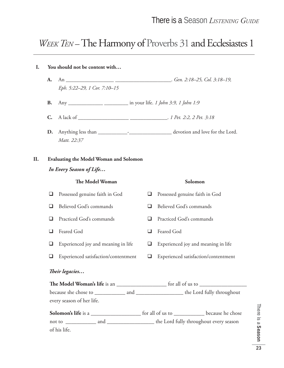### *WEEK TEN* – The Harmony of Proverbs 31 and Ecclesiastes 1

## **I. You should not be content with… A.** An \_\_\_\_\_\_\_\_\_\_\_\_\_\_\_\_\_\_ \_\_\_\_\_\_\_\_\_\_\_\_\_\_\_\_\_\_\_\_\_. *Gen. 2:18–25, Col. 3:18–19, Eph. 5:22–29, 1 Cor. 7:10–15* **B.** Any \_\_\_\_\_\_\_\_\_\_\_\_\_ \_\_\_\_\_\_\_\_\_ in your life. *1 John 3:9, 1 John 1:9* **C.** A lack of \_\_\_\_\_\_\_\_\_\_\_\_\_\_\_\_\_\_\_ \_\_\_\_\_\_\_\_\_\_\_\_\_\_. *1 Pet. 2:2, 2 Pet. 3:18* **D.** Anything less than \_\_\_\_\_\_\_\_\_\_\_-\_\_\_\_\_\_\_\_\_\_\_\_\_\_\_\_ devotion and love for the Lord. *Matt. 22:37* **II. Evaluating the Model Woman and Solomon** *In Every Season of Life…* **The Model Woman** Solomon Possessed genuine faith in God Possessed genuine faith in God  $\Box$  Believed God's commands  $\Box$  Believed God's commands Practiced God's commands Practiced God's commands □ Feared God □ Feared God  $\Box$  Experienced joy and meaning in life  $\Box$  Experienced joy and meaning in life  $\Box$  Experienced satisfaction/contentment  $\Box$  Experienced satisfaction/contentment *Th eir legacies…* **Th e Model Woman's life** is an \_\_\_\_\_\_\_\_\_\_\_\_\_\_\_\_\_\_ for all of us to \_\_\_\_\_\_\_\_\_\_\_\_\_\_\_\_\_ because she chose to \_\_\_\_\_\_\_\_\_\_\_\_ and \_\_\_\_\_\_\_\_\_\_\_\_\_\_\_\_\_\_ the Lord fully throughout every season of her life. Solomon's life is a \_\_\_\_\_\_\_\_\_\_\_\_\_\_\_\_\_\_\_\_\_\_\_ for all of us to \_\_\_\_\_\_\_\_\_\_\_\_\_\_\_\_\_ because he chose not to \_\_\_\_\_\_\_\_\_\_\_\_ and \_\_\_\_\_\_\_\_\_\_\_\_\_\_\_\_\_\_\_ the Lord fully throughout every season

of his life.